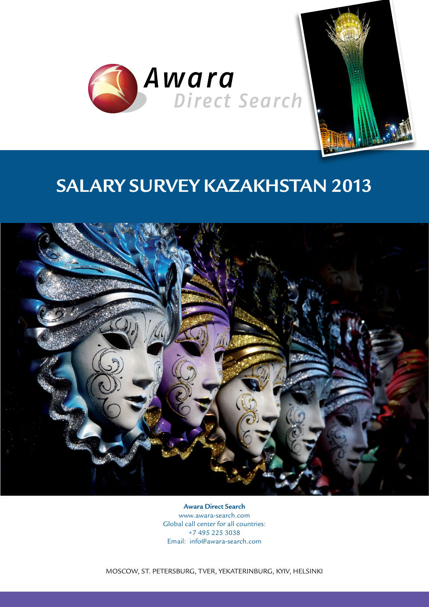



# **Salary Survey Kazakhstan 2013**



**Awara Direct Search** www.awara-search.com Global call center for all countries: +7 495 225 3038 Email: info@awara-search.com

Moscow, St. Petersburg, Tver, Yekaterinburg, Kyiv, Helsinki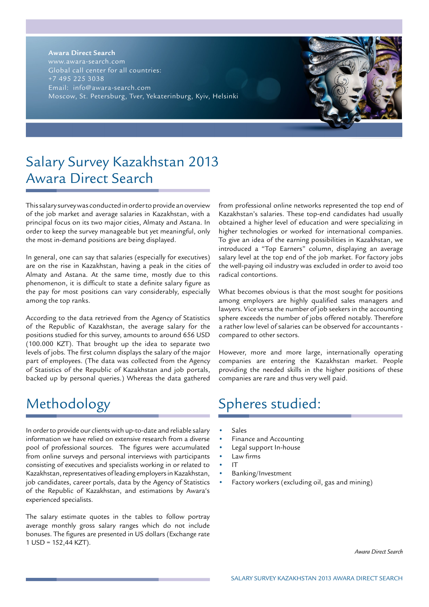## Salary Survey Kazakhstan 2013 Awara Direct Search

This salary survey was conducted in order to provide an overview of the job market and average salaries in Kazakhstan, with a principal focus on its two major cities, Almaty and Astana. In order to keep the survey manageable but yet meaningful, only the most in-demand positions are being displayed.

In general, one can say that salaries (especially for executives) are on the rise in Kazakhstan, having a peak in the cities of Almaty and Astana. At the same time, mostly due to this phenomenon, it is difficult to state a definite salary figure as the pay for most positions can vary considerably, especially among the top ranks.

According to the data retrieved from the Agency of Statistics of the Republic of Kazakhstan, the average salary for the positions studied for this survey, amounts to around 656 USD (100.000 KZT). That brought up the idea to separate two levels of jobs. The first column displays the salary of the major part of employees. (The data was collected from the Agency of Statistics of the Republic of Kazakhstan and job portals, backed up by personal queries.) Whereas the data gathered

## Methodology

In order to provide our clients with up-to-date and reliable salary information we have relied on extensive research from a diverse pool of professional sources. The figures were accumulated from online surveys and personal interviews with participants consisting of executives and specialists working in or related to Kazakhstan, representatives of leading employers in Kazakhstan, job candidates, career portals, data by the Agency of Statistics of the Republic of Kazakhstan, and estimations by Awara's experienced specialists.

The salary estimate quotes in the tables to follow portray average monthly gross salary ranges which do not include bonuses. The figures are presented in US dollars (Exchange rate 1 USD =  $152,44$  KZT).

from professional online networks represented the top end of Kazakhstan's salaries. These top-end candidates had usually obtained a higher level of education and were specializing in higher technologies or worked for international companies. To give an idea of the earning possibilities in Kazakhstan, we introduced a "Top Earners" column, displaying an average salary level at the top end of the job market. For factory jobs the well-paying oil industry was excluded in order to avoid too radical contortions.

What becomes obvious is that the most sought for positions among employers are highly qualified sales managers and lawyers. Vice versa the number of job seekers in the accounting sphere exceeds the number of jobs offered notably. Therefore a rather low level of salaries can be observed for accountants compared to other sectors.

However, more and more large, internationally operating companies are entering the Kazakhstan market. People providing the needed skills in the higher positions of these companies are rare and thus very well paid.

### Spheres studied:

- Sales
- Finance and Accounting
- Legal support In-house
- Law firms
- IT
- Banking/Investment
- Factory workers (excluding oil, gas and mining)

*Awara Direct Search*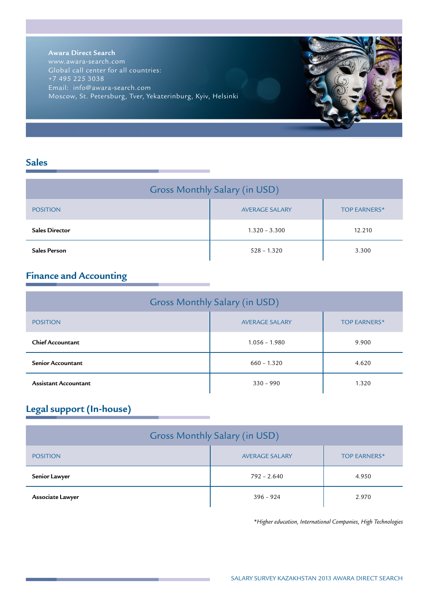

| Gross Monthly Salary (in USD) |                       |                     |
|-------------------------------|-----------------------|---------------------|
| <b>POSITION</b>               | <b>AVERAGE SALARY</b> | <b>TOP EARNERS*</b> |
| <b>Sales Director</b>         | $1.320 - 3.300$       | 12.210              |
| Sales Person                  | $528 - 1.320$         | 3.300               |

### **Finance and Accounting**

| Gross Monthly Salary (in USD) |                       |                     |
|-------------------------------|-----------------------|---------------------|
| <b>POSITION</b>               | <b>AVERAGE SALARY</b> | <b>TOP EARNERS*</b> |
| <b>Chief Accountant</b>       | $1.056 - 1.980$       | 9.900               |
| <b>Senior Accountant</b>      | $660 - 1.320$         | 4.620               |
| <b>Assistant Accountant</b>   | $330 - 990$           | 1.320               |

### **Legal support (In-house)**

| <b>Gross Monthly Salary (in USD)</b> |                       |                     |
|--------------------------------------|-----------------------|---------------------|
| <b>POSITION</b>                      | <b>AVERAGE SALARY</b> | <b>TOP EARNERS*</b> |
| Senior Lawyer                        | $792 - 2.640$         | 4.950               |
| Associate Lawyer                     | $396 - 924$           | 2.970               |

*\*Higher education, International Companies, High Technologies*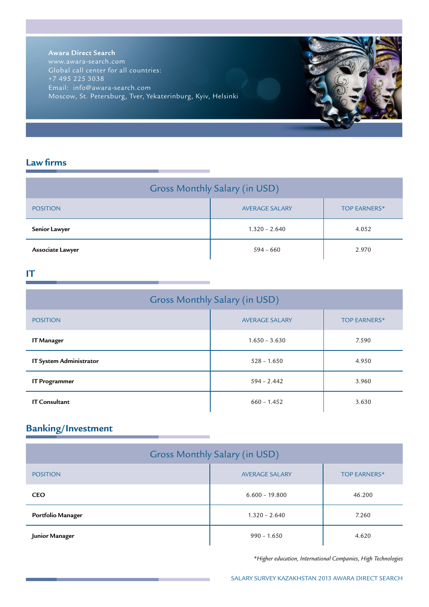#### **Law firms**

| <b>Gross Monthly Salary (in USD)</b> |                       |                     |
|--------------------------------------|-----------------------|---------------------|
| <b>POSITION</b>                      | <b>AVERAGE SALARY</b> | <b>TOP EARNERS*</b> |
| Senior Lawyer                        | $1.320 - 2.640$       | 4.052               |
| Associate Lawyer                     | $594 - 660$           | 2.970               |

#### **IT**

| <b>Gross Monthly Salary (in USD)</b> |                       |                     |
|--------------------------------------|-----------------------|---------------------|
| <b>POSITION</b>                      | <b>AVERAGE SALARY</b> | <b>TOP EARNERS*</b> |
| <b>IT Manager</b>                    | $1.650 - 3.630$       | 7.590               |
| IT System Administrator              | $528 - 1.650$         | 4.950               |
| <b>IT Programmer</b>                 | $594 - 2.442$         | 3.960               |
| <b>IT Consultant</b>                 | $660 - 1.452$         | 3.630               |

#### **Banking/Investment**

| Gross Monthly Salary (in USD) |                       |                     |
|-------------------------------|-----------------------|---------------------|
| <b>POSITION</b>               | <b>AVERAGE SALARY</b> | <b>TOP EARNERS*</b> |
| <b>CEO</b>                    | $6.600 - 19.800$      | 46.200              |
| Portfolio Manager             | $1.320 - 2.640$       | 7.260               |
| Junior Manager                | $990 - 1.650$         | 4.620               |

*\*Higher education, International Companies, High Technologies*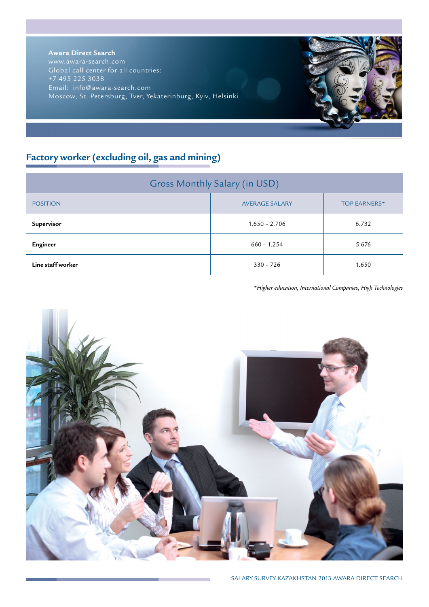### **Factory worker (excluding oil, gas and mining)**

| Gross Monthly Salary (in USD) |                       |                     |
|-------------------------------|-----------------------|---------------------|
| <b>POSITION</b>               | <b>AVERAGE SALARY</b> | <b>TOP EARNERS*</b> |
| Supervisor                    | $1.650 - 2.706$       | 6.732               |
| Engineer                      | $660 - 1.254$         | 5.676               |
| Line staff worker             | $330 - 726$           | 1.650               |

*\*Higher education, International Companies, High Technologies*



Salary Survey Kazakhstan 2013 Awara Direct Search